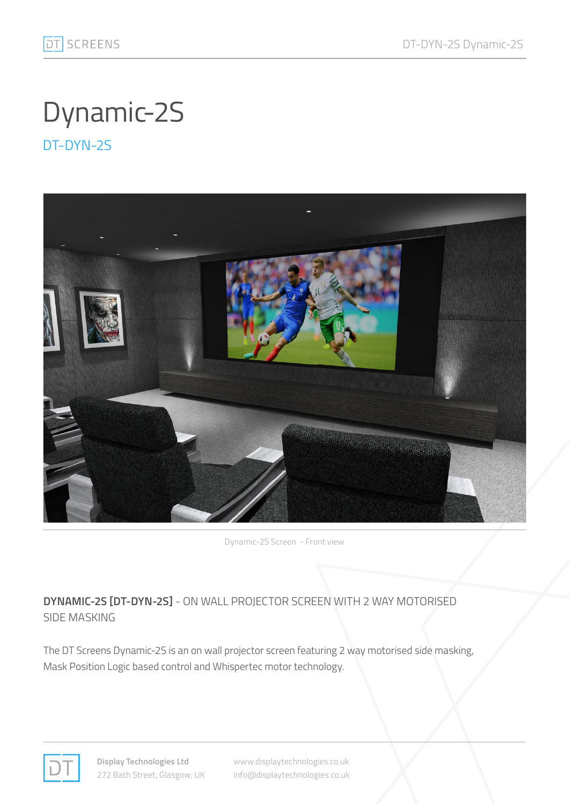## Dynamic-2S

DT-DYN-2S



Dynamic-2S Screen - Front view

## **DYNAMIC-2S [DT-DYN-2S]** - ON WALL PROJECTOR SCREEN WITH 2 WAY MOTORISED SIDE MASKING

The DT Screens Dynamic-2S is an on wall projector screen featuring 2 way motorised side masking, Mask Position Logic based control and Whispertec motor technology.



**Display Technologies Ltd** 272 Bath Street, Glasgow, UK www.displaytechnologies.co.uk info@displaytechnologies.co.uk